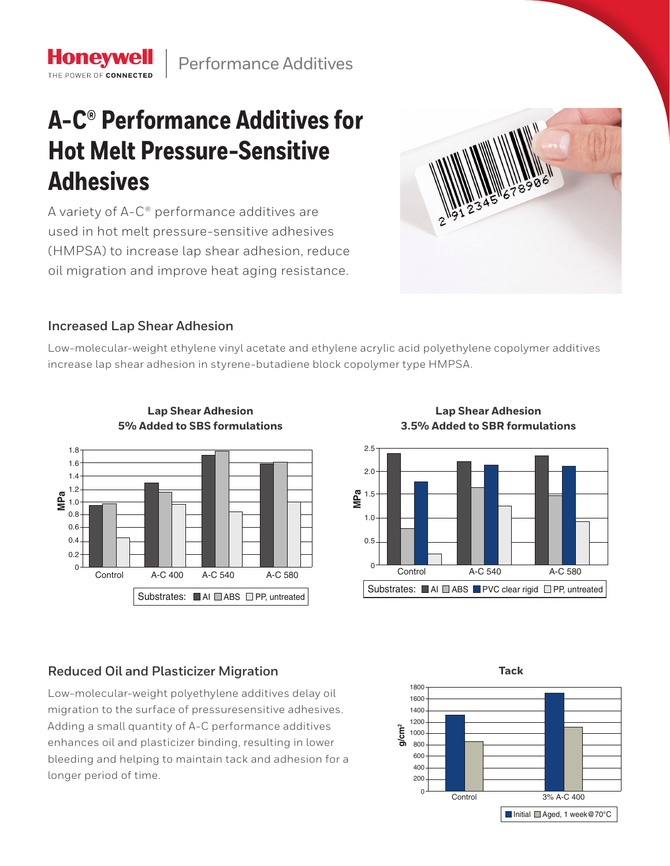# **A-C® Performance Additives for Hot Melt Pressure-Sensitive Adhesives**

A variety of A-C® performance additives are used in hot melt pressure-sensitive adhesives (HMPSA) to increase lap shear adhesion, reduce oil migration and improve heat aging resistance.



## **Increased Lap Shear Adhesion**

**Honeywell** THE POWER OF CONNECTE

Low-molecular-weight ethylene vinyl acetate and ethylene acrylic acid polyethylene copolymer additives increase lap shear adhesion in styrene-butadiene block copolymer type HMPSA. 0.4



**Lap Shear Adhesion 5% Added to SBS formulations**

Lap Shear Adhesion **3.5% Added to SBR formulations**



# **Reduced Oil and Plasticizer Migration**

**MPa** 1.5 enhances oil and plasticizer binding, resulting in lower  $\sim$ bleeding and helping to maintain tack and adhesion for a 2.0 migration to the surface of pressuresensitive adhesives. Low-molecular-weight polyethylene additives delay oil Adding a small quantity of A-C performance additives longer period of time.

**Tack**